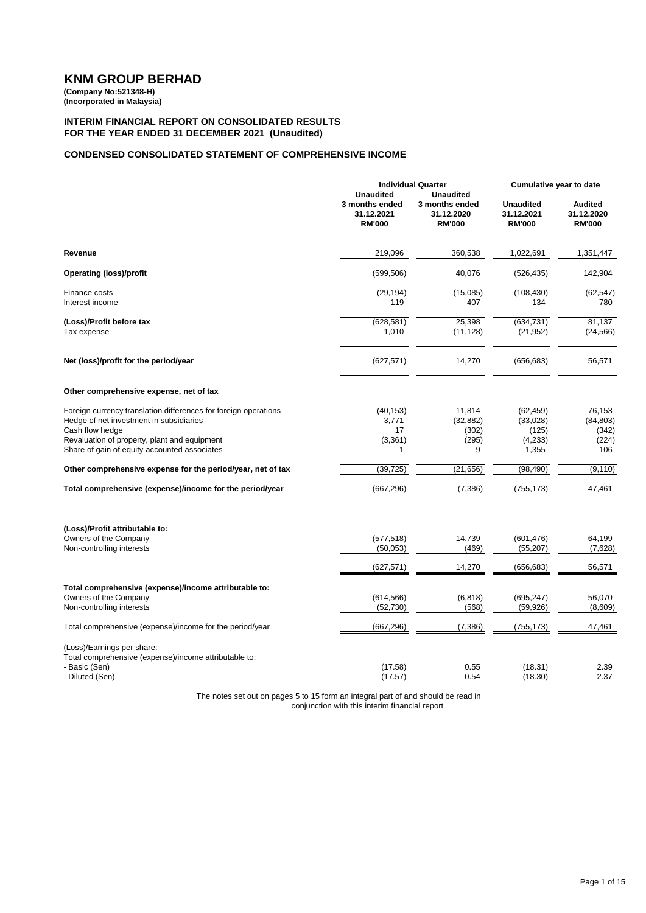**(Company No:521348-H) (Incorporated in Malaysia)**

#### **INTERIM FINANCIAL REPORT ON CONSOLIDATED RESULTS FOR THE YEAR ENDED 31 DECEMBER 2021 (Unaudited)**

### **CONDENSED CONSOLIDATED STATEMENT OF COMPREHENSIVE INCOME**

|                                                                                                                                                                                                                               |                                                                   | <b>Individual Quarter</b>                                         | Cumulative year to date                             |                                               |
|-------------------------------------------------------------------------------------------------------------------------------------------------------------------------------------------------------------------------------|-------------------------------------------------------------------|-------------------------------------------------------------------|-----------------------------------------------------|-----------------------------------------------|
|                                                                                                                                                                                                                               | <b>Unaudited</b><br>3 months ended<br>31.12.2021<br><b>RM'000</b> | <b>Unaudited</b><br>3 months ended<br>31.12.2020<br><b>RM'000</b> | <b>Unaudited</b><br>31.12.2021<br><b>RM'000</b>     | <b>Audited</b><br>31.12.2020<br><b>RM'000</b> |
| Revenue                                                                                                                                                                                                                       | 219,096                                                           | 360,538                                                           | 1,022,691                                           | 1,351,447                                     |
| <b>Operating (loss)/profit</b>                                                                                                                                                                                                | (599, 506)                                                        | 40,076                                                            | (526, 435)                                          | 142,904                                       |
| Finance costs<br>Interest income                                                                                                                                                                                              | (29, 194)<br>119                                                  | (15,085)<br>407                                                   | (108, 430)<br>134                                   | (62, 547)<br>780                              |
| (Loss)/Profit before tax<br>Tax expense                                                                                                                                                                                       | (628, 581)<br>1,010                                               | 25,398<br>(11, 128)                                               | (634, 731)<br>(21, 952)                             | 81,137<br>(24, 566)                           |
| Net (loss)/profit for the period/year                                                                                                                                                                                         | (627, 571)                                                        | 14,270                                                            | (656, 683)                                          | 56,571                                        |
| Other comprehensive expense, net of tax                                                                                                                                                                                       |                                                                   |                                                                   |                                                     |                                               |
| Foreign currency translation differences for foreign operations<br>Hedge of net investment in subsidiaries<br>Cash flow hedge<br>Revaluation of property, plant and equipment<br>Share of gain of equity-accounted associates | (40, 153)<br>3,771<br>17<br>(3, 361)<br>1                         | 11,814<br>(32, 882)<br>(302)<br>(295)<br>9                        | (62, 459)<br>(33,028)<br>(125)<br>(4, 233)<br>1,355 | 76,153<br>(84, 803)<br>(342)<br>(224)<br>106  |
| Other comprehensive expense for the period/year, net of tax                                                                                                                                                                   | (39, 725)                                                         | (21, 656)                                                         | (98, 490)                                           | (9, 110)                                      |
| Total comprehensive (expense)/income for the period/year                                                                                                                                                                      | (667, 296)                                                        | (7,386)                                                           | (755, 173)                                          | 47,461                                        |
| (Loss)/Profit attributable to:<br>Owners of the Company<br>Non-controlling interests                                                                                                                                          | (577, 518)<br>(50,053)                                            | 14,739<br>(469)                                                   | (601, 476)<br>(55, 207)                             | 64,199<br>(7,628)                             |
|                                                                                                                                                                                                                               | (627, 571)                                                        | 14,270                                                            | (656,683)                                           | 56,571                                        |
| Total comprehensive (expense)/income attributable to:<br>Owners of the Company<br>Non-controlling interests                                                                                                                   | (614, 566)<br>(52, 730)                                           | (6, 818)<br>(568)                                                 | (695, 247)<br>(59, 926)                             | 56,070<br>(8,609)                             |
| Total comprehensive (expense)/income for the period/year                                                                                                                                                                      | (667, 296)                                                        | (7, 386)                                                          | (755,173)                                           | 47,461                                        |
| (Loss)/Earnings per share:<br>Total comprehensive (expense)/income attributable to:<br>- Basic (Sen)<br>- Diluted (Sen)                                                                                                       | (17.58)<br>(17.57)                                                | 0.55<br>0.54                                                      | (18.31)<br>(18.30)                                  | 2.39<br>2.37                                  |

The notes set out on pages 5 to 15 form an integral part of and should be read in conjunction with this interim financial report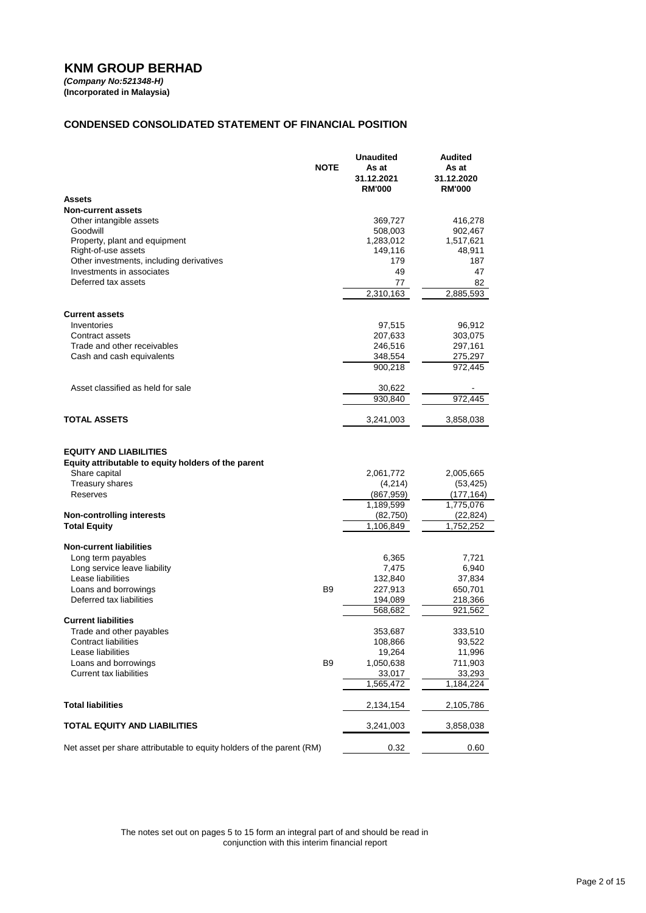*(Company No:521348-H)* **(Incorporated in Malaysia)**

# **CONDENSED CONSOLIDATED STATEMENT OF FINANCIAL POSITION**

|                                                                                                                                      | <b>NOTE</b>    | <b>Unaudited</b><br>As at<br>31.12.2021<br><b>RM'000</b> | Audited<br>As at<br>31.12.2020<br><b>RM'000</b>   |
|--------------------------------------------------------------------------------------------------------------------------------------|----------------|----------------------------------------------------------|---------------------------------------------------|
| Assets                                                                                                                               |                |                                                          |                                                   |
| <b>Non-current assets</b>                                                                                                            |                |                                                          |                                                   |
| Other intangible assets                                                                                                              |                | 369,727                                                  | 416,278                                           |
| Goodwill                                                                                                                             |                | 508,003                                                  | 902,467                                           |
| Property, plant and equipment<br>Right-of-use assets                                                                                 |                | 1,283,012                                                | 1,517,621                                         |
| Other investments, including derivatives                                                                                             |                | 149,116<br>179                                           | 48,911<br>187                                     |
| Investments in associates                                                                                                            |                | 49                                                       | 47                                                |
| Deferred tax assets                                                                                                                  |                | 77                                                       | 82                                                |
|                                                                                                                                      |                | 2,310,163                                                | 2,885,593                                         |
|                                                                                                                                      |                |                                                          |                                                   |
| <b>Current assets</b>                                                                                                                |                |                                                          |                                                   |
| Inventories                                                                                                                          |                | 97,515                                                   | 96,912                                            |
| Contract assets                                                                                                                      |                | 207,633                                                  | 303,075                                           |
| Trade and other receivables<br>Cash and cash equivalents                                                                             |                | 246,516<br>348,554                                       | 297,161<br>275,297                                |
|                                                                                                                                      |                | 900,218                                                  | 972,445                                           |
|                                                                                                                                      |                |                                                          |                                                   |
| Asset classified as held for sale                                                                                                    |                | 30,622                                                   |                                                   |
|                                                                                                                                      |                | 930,840                                                  | 972,445                                           |
| TOTAL ASSETS                                                                                                                         |                | 3,241,003                                                | 3,858,038                                         |
| <b>EQUITY AND LIABILITIES</b><br>Equity attributable to equity holders of the parent<br>Share capital<br>Treasury shares<br>Reserves |                | 2,061,772<br>(4,214)<br>(867, 959)<br>1,189,599          | 2,005,665<br>(53, 425)<br>(177, 164)<br>1,775,076 |
| <b>Non-controlling interests</b>                                                                                                     |                | (82,750)                                                 | (22, 824)                                         |
| <b>Total Equity</b>                                                                                                                  |                | 1,106,849                                                | 1,752,252                                         |
| <b>Non-current liabilities</b>                                                                                                       |                |                                                          |                                                   |
| Long term payables                                                                                                                   |                | 6,365                                                    | 7,721                                             |
| Long service leave liability                                                                                                         |                | 7,475                                                    | 6,940                                             |
| Lease liabilities                                                                                                                    |                | 132,840                                                  | 37,834                                            |
| Loans and borrowings                                                                                                                 | B <sub>9</sub> | 227,913                                                  | 650,701                                           |
| Deferred tax liabilities                                                                                                             |                | 194,089                                                  | 218,366                                           |
|                                                                                                                                      |                | 568,682                                                  | 921, 562                                          |
| <b>Current liabilities</b>                                                                                                           |                |                                                          |                                                   |
| Trade and other payables<br>Contract liabilities                                                                                     |                | 353,687                                                  | 333,510                                           |
| Lease liabilities                                                                                                                    |                | 108,866<br>19,264                                        | 93,522<br>11,996                                  |
| Loans and borrowings                                                                                                                 | B <sub>9</sub> | 1,050,638                                                | 711,903                                           |
| <b>Current tax liabilities</b>                                                                                                       |                | 33,017                                                   | 33,293                                            |
|                                                                                                                                      |                | 1,565,472                                                | 1,184,224                                         |
| <b>Total liabilities</b>                                                                                                             |                | 2,134,154                                                | 2,105,786                                         |
| <b>TOTAL EQUITY AND LIABILITIES</b>                                                                                                  |                | 3,241,003                                                | 3,858,038                                         |
| Net asset per share attributable to equity holders of the parent (RM)                                                                |                | 0.32                                                     | 0.60                                              |

The notes set out on pages 5 to 15 form an integral part of and should be read in conjunction with this interim financial report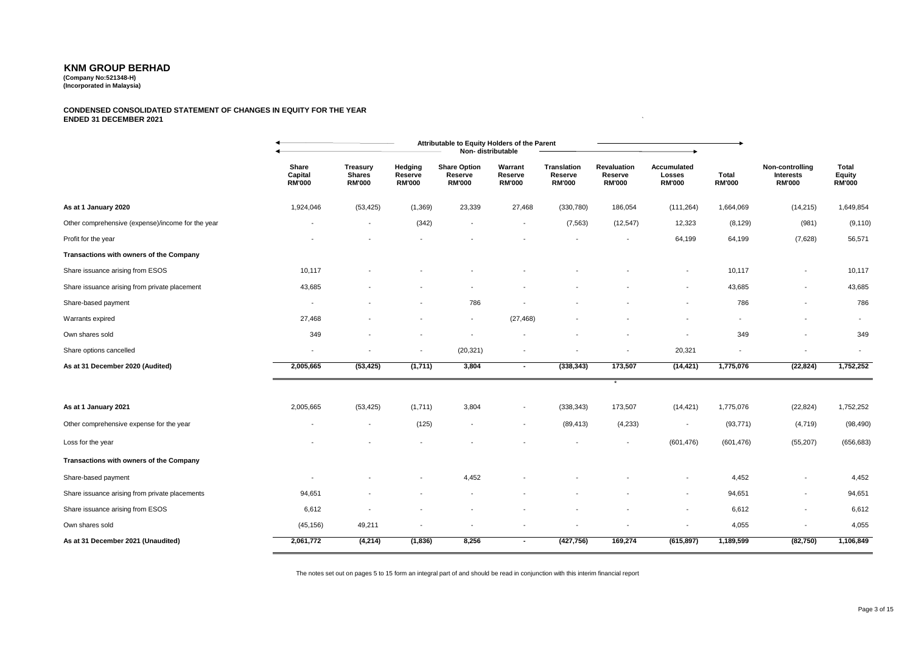**(Company No:521348-H) (Incorporated in Malaysia)**

#### **CONDENSED CONSOLIDATED STATEMENT OF CHANGES IN EQUITY FOR THE YEAR ENDED 31 DECEMBER 2021** `

|                                                   |                                   |                                                   |                                     | Attributable to Equity Holders of the Parent    | Non-distributable                   |                                                |                                                |                                        |                        |                                                      |                                  |
|---------------------------------------------------|-----------------------------------|---------------------------------------------------|-------------------------------------|-------------------------------------------------|-------------------------------------|------------------------------------------------|------------------------------------------------|----------------------------------------|------------------------|------------------------------------------------------|----------------------------------|
|                                                   | Share<br>Capital<br><b>RM'000</b> | <b>Treasury</b><br><b>Shares</b><br><b>RM'000</b> | Hedging<br>Reserve<br><b>RM'000</b> | <b>Share Option</b><br>Reserve<br><b>RM'000</b> | Warrant<br>Reserve<br><b>RM'000</b> | <b>Translation</b><br>Reserve<br><b>RM'000</b> | <b>Revaluation</b><br>Reserve<br><b>RM'000</b> | Accumulated<br>Losses<br><b>RM'000</b> | Total<br><b>RM'000</b> | Non-controlling<br><b>Interests</b><br><b>RM'000</b> | Total<br>Equity<br><b>RM'000</b> |
| As at 1 January 2020                              | 1,924,046                         | (53, 425)                                         | (1,369)                             | 23,339                                          | 27,468                              | (330, 780)                                     | 186,054                                        | (111, 264)                             | 1,664,069              | (14, 215)                                            | 1,649,854                        |
| Other comprehensive (expense)/income for the year | $\overline{\phantom{a}}$          | $\overline{\phantom{a}}$                          | (342)                               | $\overline{\phantom{a}}$                        | $\overline{\phantom{a}}$            | (7, 563)                                       | (12, 547)                                      | 12,323                                 | (8, 129)               | (981)                                                | (9, 110)                         |
| Profit for the year                               |                                   |                                                   |                                     |                                                 |                                     |                                                |                                                | 64,199                                 | 64,199                 | (7,628)                                              | 56,571                           |
| Transactions with owners of the Company           |                                   |                                                   |                                     |                                                 |                                     |                                                |                                                |                                        |                        |                                                      |                                  |
| Share issuance arising from ESOS                  | 10,117                            |                                                   |                                     |                                                 |                                     |                                                |                                                |                                        | 10,117                 |                                                      | 10,117                           |
| Share issuance arising from private placement     | 43,685                            |                                                   |                                     |                                                 |                                     |                                                |                                                | $\overline{\phantom{a}}$               | 43,685                 | $\overline{\phantom{a}}$                             | 43,685                           |
| Share-based payment                               | $\overline{\phantom{a}}$          |                                                   |                                     | 786                                             |                                     |                                                |                                                |                                        | 786                    |                                                      | 786                              |
| Warrants expired                                  | 27,468                            |                                                   |                                     | $\overline{\phantom{a}}$                        | (27, 468)                           |                                                |                                                |                                        |                        |                                                      | $\overline{\phantom{a}}$         |
| Own shares sold                                   | 349                               |                                                   |                                     |                                                 |                                     |                                                |                                                |                                        | 349                    |                                                      | 349                              |
| Share options cancelled                           | $\overline{\phantom{a}}$          |                                                   |                                     | (20, 321)                                       |                                     |                                                |                                                | 20,321                                 |                        |                                                      |                                  |
| As at 31 December 2020 (Audited)                  | 2,005,665                         | (53, 425)                                         | (1,711)                             | 3,804                                           | $\sim$                              | (338, 343)                                     | 173,507                                        | (14, 421)                              | 1,775,076              | (22, 824)                                            | 1,752,252                        |
|                                                   |                                   |                                                   |                                     |                                                 |                                     |                                                | $\star$                                        |                                        |                        |                                                      |                                  |
| As at 1 January 2021                              | 2,005,665                         | (53, 425)                                         | (1,711)                             | 3,804                                           | $\overline{\phantom{a}}$            | (338, 343)                                     | 173,507                                        | (14, 421)                              | 1,775,076              | (22, 824)                                            | 1,752,252                        |
| Other comprehensive expense for the year          |                                   | $\overline{\phantom{a}}$                          | (125)                               | $\overline{\phantom{0}}$                        | $\overline{\phantom{a}}$            | (89, 413)                                      | (4,233)                                        | $\overline{\phantom{a}}$               | (93, 771)              | (4,719)                                              | (98, 490)                        |
| Loss for the year                                 |                                   |                                                   |                                     |                                                 |                                     |                                                |                                                | (601, 476)                             | (601, 476)             | (55, 207)                                            | (656, 683)                       |
| Transactions with owners of the Company           |                                   |                                                   |                                     |                                                 |                                     |                                                |                                                |                                        |                        |                                                      |                                  |
| Share-based payment                               |                                   |                                                   |                                     | 4,452                                           |                                     |                                                |                                                |                                        | 4,452                  |                                                      | 4,452                            |
| Share issuance arising from private placements    | 94,651                            |                                                   |                                     |                                                 |                                     |                                                |                                                |                                        | 94,651                 | $\overline{\phantom{a}}$                             | 94,651                           |
| Share issuance arising from ESOS                  | 6,612                             |                                                   |                                     |                                                 |                                     |                                                |                                                |                                        | 6,612                  | $\overline{\phantom{a}}$                             | 6,612                            |
| Own shares sold                                   | (45, 156)                         | 49,211                                            |                                     |                                                 |                                     |                                                |                                                |                                        | 4,055                  |                                                      | 4,055                            |
| As at 31 December 2021 (Unaudited)                | 2,061,772                         | (4,214)                                           | (1,836)                             | 8,256                                           | $\sim$                              | (427, 756)                                     | 169,274                                        | (615, 897)                             | 1,189,599              | (82,750)                                             | 1,106,849                        |

The notes set out on pages 5 to 15 form an integral part of and should be read in conjunction with this interim financial report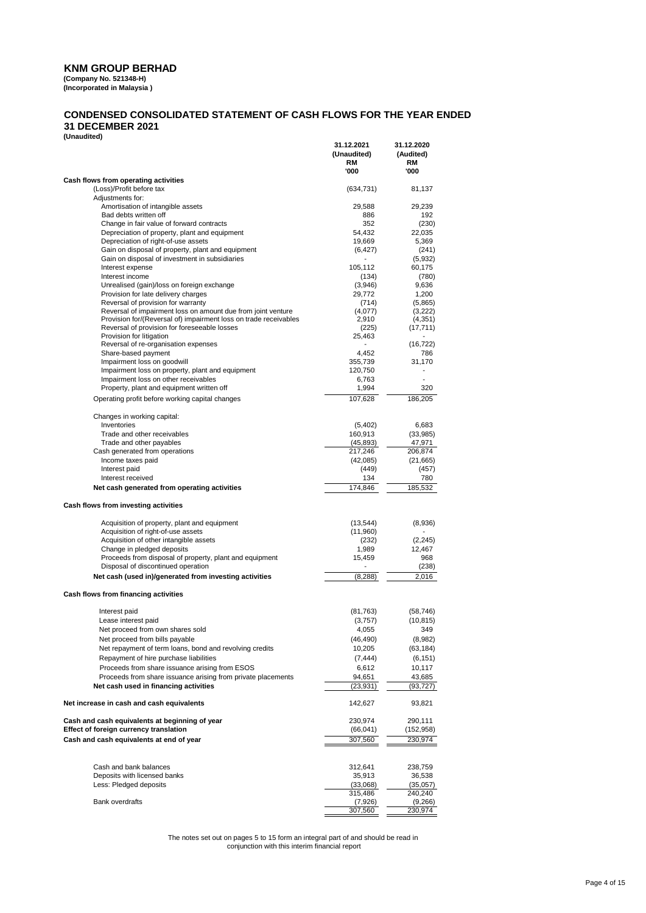**(Company No. 521348-H) (Incorporated in Malaysia )**

### **CONDENSED CONSOLIDATED STATEMENT OF CASH FLOWS FOR THE YEAR ENDED 31 DECEMBER 2021**

**(Unaudited)**

| 1                                                                                                     | 31.12.2021<br>(Unaudited)<br>RM | 31.12.2020<br>(Audited)<br>RM |
|-------------------------------------------------------------------------------------------------------|---------------------------------|-------------------------------|
|                                                                                                       | '000                            | '000                          |
| Cash flows from operating activities<br>(Loss)/Profit before tax                                      | (634, 731)                      | 81,137                        |
| Adjustments for:                                                                                      |                                 |                               |
| Amortisation of intangible assets                                                                     | 29,588                          | 29,239                        |
| Bad debts written off<br>Change in fair value of forward contracts                                    | 886                             | 192                           |
| Depreciation of property, plant and equipment                                                         | 352<br>54,432                   | (230)<br>22,035               |
| Depreciation of right-of-use assets                                                                   | 19,669                          | 5,369                         |
| Gain on disposal of property, plant and equipment                                                     | (6, 427)                        | (241)                         |
| Gain on disposal of investment in subsidiaries<br>Interest expense                                    | 105,112                         | (5,932)<br>60,175             |
| Interest income                                                                                       | (134)                           | (780)                         |
| Unrealised (gain)/loss on foreign exchange                                                            | (3,946)                         | 9,636                         |
| Provision for late delivery charges                                                                   | 29,772                          | 1,200                         |
| Reversal of provision for warranty<br>Reversal of impairment loss on amount due from joint venture    | (714)<br>(4,077)                | (5,865)<br>(3,222)            |
| Provision for/(Reversal of) impairment loss on trade receivables                                      | 2,910                           | (4, 351)                      |
| Reversal of provision for foreseeable losses                                                          | (225)                           | (17, 711)                     |
| Provision for litigation<br>Reversal of re-organisation expenses                                      | 25,463                          | (16, 722)                     |
| Share-based payment                                                                                   | 4,452                           | 786                           |
| Impairment loss on goodwill                                                                           | 355,739                         | 31,170                        |
| Impairment loss on property, plant and equipment                                                      | 120,750                         | $\overline{a}$                |
| Impairment loss on other receivables<br>Property, plant and equipment written off                     | 6,763<br>1,994                  | 320                           |
| Operating profit before working capital changes                                                       | 107,628                         | 186,205                       |
| Changes in working capital:                                                                           |                                 |                               |
| Inventories                                                                                           | (5,402)                         | 6,683                         |
| Trade and other receivables                                                                           | 160,913                         | (33,985)                      |
| Trade and other payables<br>Cash generated from operations                                            | (45, 893)<br>217,246            | 47,971<br>206,874             |
| Income taxes paid                                                                                     | (42,085)                        | (21, 665)                     |
| Interest paid                                                                                         | (449)                           | (457)                         |
| Interest received                                                                                     | 134                             | 780                           |
| Net cash generated from operating activities                                                          | 174,846                         | 185,532                       |
| Cash flows from investing activities                                                                  |                                 |                               |
| Acquisition of property, plant and equipment                                                          | (13, 544)                       | (8,936)                       |
| Acquisition of right-of-use assets<br>Acquisition of other intangible assets                          | (11,960)<br>(232)               | (2, 245)                      |
| Change in pledged deposits                                                                            | 1,989                           | 12,467                        |
| Proceeds from disposal of property, plant and equipment                                               | 15,459                          | 968                           |
| Disposal of discontinued operation                                                                    | (8, 288)                        | (238)<br>2,016                |
| Net cash (used in)/generated from investing activities                                                |                                 |                               |
| Cash flows from financing activities                                                                  |                                 |                               |
| Interest paid<br>Lease interest paid                                                                  | (81, 763)                       | (58, 746)                     |
| Net proceed from own shares sold                                                                      | (3,757)<br>4,055                | (10, 815)<br>349              |
| Net proceed from bills payable                                                                        | (46, 490)                       | (8,982)                       |
| Net repayment of term loans, bond and revolving credits                                               | 10,205                          | (63, 184)                     |
| Repayment of hire purchase liabilities                                                                | (7, 444)                        | (6, 151)                      |
| Proceeds from share issuance arising from ESOS                                                        | 6,612                           | 10,117                        |
| Proceeds from share issuance arising from private placements<br>Net cash used in financing activities | 94,651<br>(23,931)              | 43,685<br>(93,727)            |
|                                                                                                       |                                 |                               |
| Net increase in cash and cash equivalents<br>Cash and cash equivalents at beginning of year           | 142,627<br>230,974              | 93,821<br>290,111             |
| Effect of foreign currency translation                                                                | (66, 041)                       | (152, 958)                    |
| Cash and cash equivalents at end of year                                                              | 307,560                         | 230,974                       |
|                                                                                                       |                                 |                               |
| Cash and bank balances                                                                                | 312,641                         | 238,759                       |
| Deposits with licensed banks<br>Less: Pledged deposits                                                | 35,913<br>(33,068)              | 36,538<br>(35,057)            |
|                                                                                                       | 315,486                         | 240,240                       |
| Bank overdrafts                                                                                       | (7,926)                         | (9,266)                       |
|                                                                                                       | 307,560                         | 230,974                       |

The notes set out on pages 5 to 15 form an integral part of and should be read in conjunction with this interim financial report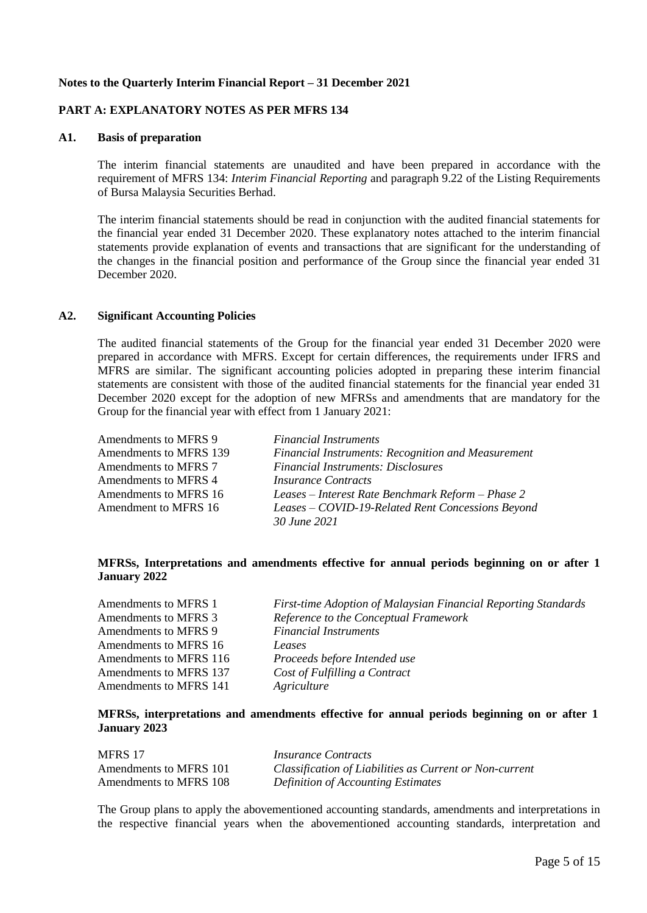# **Notes to the Quarterly Interim Financial Report – 31 December 2021**

# **PART A: EXPLANATORY NOTES AS PER MFRS 134**

# **A1. Basis of preparation**

The interim financial statements are unaudited and have been prepared in accordance with the requirement of MFRS 134: *Interim Financial Reporting* and paragraph 9.22 of the Listing Requirements of Bursa Malaysia Securities Berhad.

The interim financial statements should be read in conjunction with the audited financial statements for the financial year ended 31 December 2020. These explanatory notes attached to the interim financial statements provide explanation of events and transactions that are significant for the understanding of the changes in the financial position and performance of the Group since the financial year ended 31 December 2020.

# **A2. Significant Accounting Policies**

The audited financial statements of the Group for the financial year ended 31 December 2020 were prepared in accordance with MFRS. Except for certain differences, the requirements under IFRS and MFRS are similar. The significant accounting policies adopted in preparing these interim financial statements are consistent with those of the audited financial statements for the financial year ended 31 December 2020 except for the adoption of new MFRSs and amendments that are mandatory for the Group for the financial year with effect from 1 January 2021:

| Amendments to MFRS 9   | <b>Financial Instruments</b>                              |
|------------------------|-----------------------------------------------------------|
| Amendments to MFRS 139 | <b>Financial Instruments: Recognition and Measurement</b> |
| Amendments to MFRS 7   | <b>Financial Instruments: Disclosures</b>                 |
| Amendments to MFRS 4   | <i>Insurance Contracts</i>                                |
| Amendments to MFRS 16  | Leases – Interest Rate Benchmark Reform – Phase 2         |
| Amendment to MFRS 16   | Leases – COVID-19-Related Rent Concessions Beyond         |
|                        | 30 June 2021                                              |

# **MFRSs, Interpretations and amendments effective for annual periods beginning on or after 1 January 2022**

| Amendments to MFRS 1   | First-time Adoption of Malaysian Financial Reporting Standards |
|------------------------|----------------------------------------------------------------|
| Amendments to MFRS 3   | Reference to the Conceptual Framework                          |
| Amendments to MFRS 9   | <b>Financial Instruments</b>                                   |
| Amendments to MFRS 16  | Leases                                                         |
| Amendments to MFRS 116 | Proceeds before Intended use                                   |
| Amendments to MFRS 137 | Cost of Fulfilling a Contract                                  |
| Amendments to MFRS 141 | Agriculture                                                    |
|                        |                                                                |

# **MFRSs, interpretations and amendments effective for annual periods beginning on or after 1 January 2023**

| MFRS 17                | <i>Insurance Contracts</i>                              |
|------------------------|---------------------------------------------------------|
| Amendments to MFRS 101 | Classification of Liabilities as Current or Non-current |
| Amendments to MFRS 108 | <b>Definition of Accounting Estimates</b>               |

The Group plans to apply the abovementioned accounting standards, amendments and interpretations in the respective financial years when the abovementioned accounting standards, interpretation and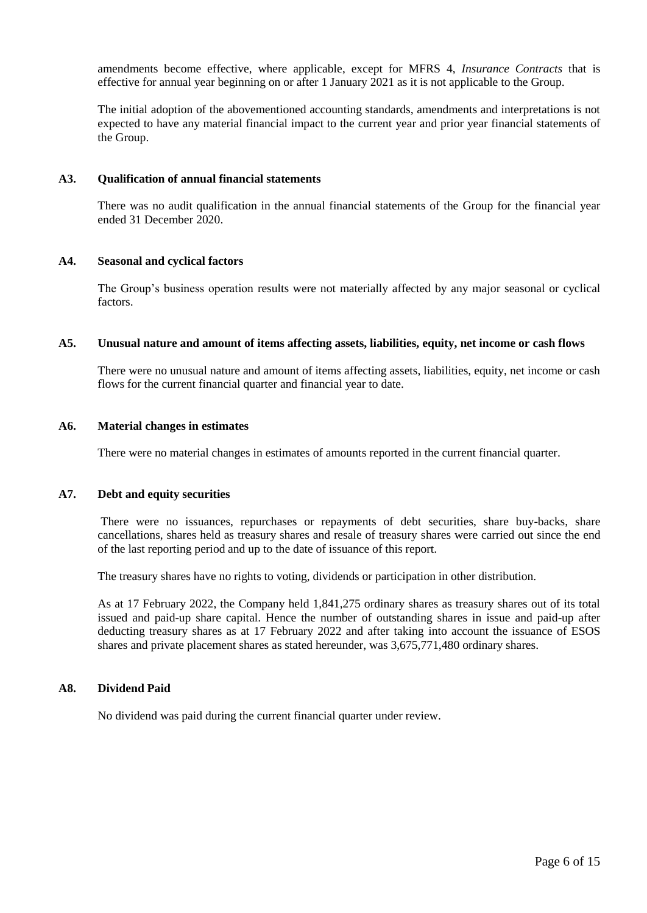amendments become effective, where applicable, except for MFRS 4, *Insurance Contracts* that is effective for annual year beginning on or after 1 January 2021 as it is not applicable to the Group.

The initial adoption of the abovementioned accounting standards, amendments and interpretations is not expected to have any material financial impact to the current year and prior year financial statements of the Group.

### **A3. Qualification of annual financial statements**

There was no audit qualification in the annual financial statements of the Group for the financial year ended 31 December 2020.

### **A4. Seasonal and cyclical factors**

The Group's business operation results were not materially affected by any major seasonal or cyclical factors.

### **A5. Unusual nature and amount of items affecting assets, liabilities, equity, net income or cash flows**

There were no unusual nature and amount of items affecting assets, liabilities, equity, net income or cash flows for the current financial quarter and financial year to date.

### **A6. Material changes in estimates**

There were no material changes in estimates of amounts reported in the current financial quarter.

### **A7. Debt and equity securities**

There were no issuances, repurchases or repayments of debt securities, share buy-backs, share cancellations, shares held as treasury shares and resale of treasury shares were carried out since the end of the last reporting period and up to the date of issuance of this report.

The treasury shares have no rights to voting, dividends or participation in other distribution.

As at 17 February 2022, the Company held 1,841,275 ordinary shares as treasury shares out of its total issued and paid-up share capital. Hence the number of outstanding shares in issue and paid-up after deducting treasury shares as at 17 February 2022 and after taking into account the issuance of ESOS shares and private placement shares as stated hereunder, was 3,675,771,480 ordinary shares.

### **A8. Dividend Paid**

No dividend was paid during the current financial quarter under review.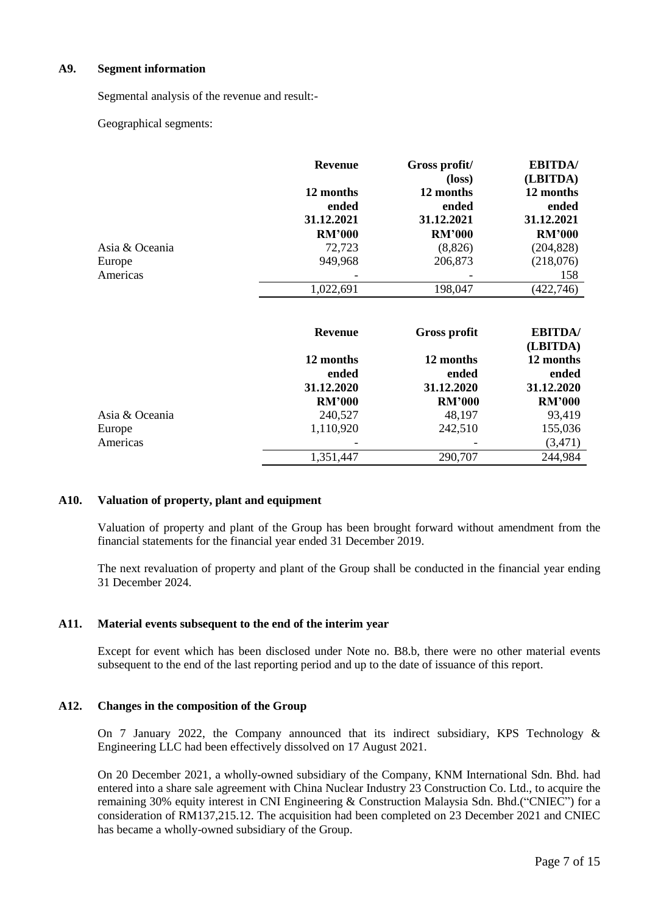# **A9. Segment information**

Segmental analysis of the revenue and result:-

Geographical segments:

|                | <b>Revenue</b>     | Gross profit/<br>$(\text{loss})$ | <b>EBITDA</b> /<br>(LBITDA) |
|----------------|--------------------|----------------------------------|-----------------------------|
|                | 12 months          | 12 months                        | 12 months                   |
|                | ended              | ended                            | ended                       |
|                | 31.12.2021         | 31.12.2021                       | 31.12.2021                  |
|                | <b>RM'000</b>      | <b>RM'000</b>                    | <b>RM'000</b>               |
| Asia & Oceania | 72,723             | (8,826)                          | (204, 828)                  |
| Europe         | 949,968            | 206,873                          | (218,076)                   |
| Americas       |                    |                                  | 158                         |
|                | 1,022,691          | 198,047                          | (422,746)                   |
|                | <b>Revenue</b>     | <b>Gross profit</b>              | <b>EBITDA</b> /<br>(LBITDA) |
|                | 12 months<br>anded | 12 months<br>anded               | 12 months<br>anded          |

|                | ended                    | ended         | ended         |
|----------------|--------------------------|---------------|---------------|
|                | 31.12.2020               | 31.12.2020    | 31.12.2020    |
|                | <b>RM'000</b>            | <b>RM'000</b> | <b>RM'000</b> |
| Asia & Oceania | 240,527                  | 48,197        | 93,419        |
| Europe         | 1,110,920                | 242,510       | 155,036       |
| Americas       | $\overline{\phantom{0}}$ |               | (3,471)       |
|                | 1,351,447                | 290,707       | 244,984       |

# **A10. Valuation of property, plant and equipment**

Valuation of property and plant of the Group has been brought forward without amendment from the financial statements for the financial year ended 31 December 2019.

The next revaluation of property and plant of the Group shall be conducted in the financial year ending 31 December 2024.

# **A11. Material events subsequent to the end of the interim year**

Except for event which has been disclosed under Note no. B8.b, there were no other material events subsequent to the end of the last reporting period and up to the date of issuance of this report.

# **A12. Changes in the composition of the Group**

On 7 January 2022, the Company announced that its indirect subsidiary, KPS Technology  $\&$ Engineering LLC had been effectively dissolved on 17 August 2021.

On 20 December 2021, a wholly-owned subsidiary of the Company, KNM International Sdn. Bhd. had entered into a share sale agreement with China Nuclear Industry 23 Construction Co. Ltd., to acquire the remaining 30% equity interest in CNI Engineering & Construction Malaysia Sdn. Bhd.("CNIEC") for a consideration of RM137,215.12. The acquisition had been completed on 23 December 2021 and CNIEC has became a wholly-owned subsidiary of the Group.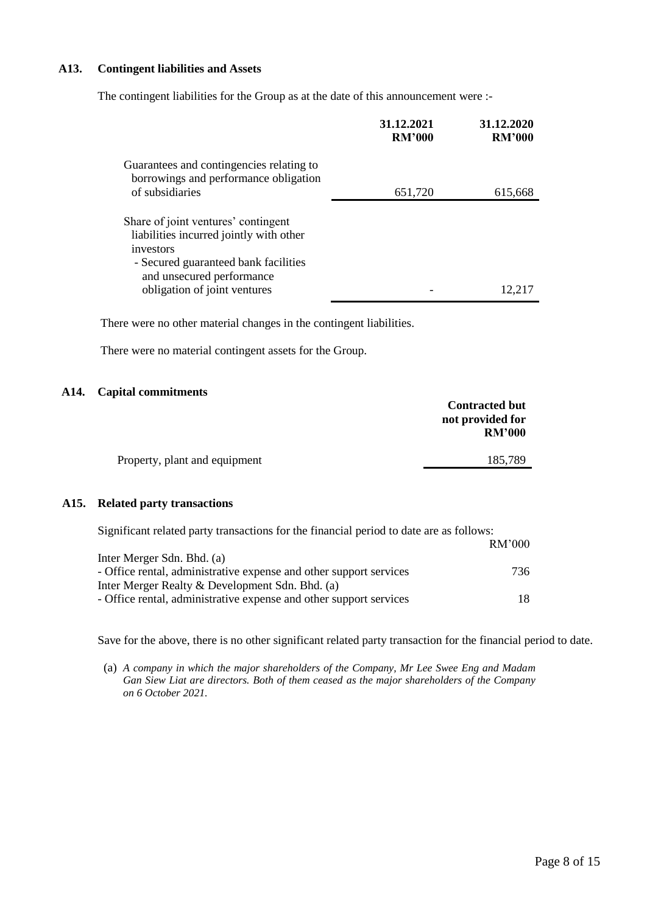# **A13. Contingent liabilities and Assets**

The contingent liabilities for the Group as at the date of this announcement were :-

|                                                                                                                                                                  | 31.12.2021<br><b>RM'000</b> | 31.12.2020<br><b>RM'000</b> |
|------------------------------------------------------------------------------------------------------------------------------------------------------------------|-----------------------------|-----------------------------|
| Guarantees and contingencies relating to<br>borrowings and performance obligation                                                                                |                             |                             |
| of subsidiaries                                                                                                                                                  | 651,720                     | 615,668                     |
| Share of joint ventures' contingent<br>liabilities incurred jointly with other<br>investors<br>- Secured guaranteed bank facilities<br>and unsecured performance |                             |                             |
| obligation of joint ventures                                                                                                                                     |                             | 12.217                      |

There were no other material changes in the contingent liabilities.

There were no material contingent assets for the Group.

### **A14. Capital commitments**

| <b>Contracted but</b>             |
|-----------------------------------|
| not provided for<br><b>RM'000</b> |
| 185,789                           |
|                                   |

### **A15. Related party transactions**

| Significant related party transactions for the financial period to date are as follows: |        |
|-----------------------------------------------------------------------------------------|--------|
|                                                                                         | RM'000 |
| Inter Merger Sdn. Bhd. (a)                                                              |        |
| - Office rental, administrative expense and other support services                      | 736.   |
| Inter Merger Realty & Development Sdn. Bhd. (a)                                         |        |
| - Office rental, administrative expense and other support services                      | 18.    |

Save for the above, there is no other significant related party transaction for the financial period to date.

(a) *A company in which the major shareholders of the Company, Mr Lee Swee Eng and Madam Gan Siew Liat are directors. Both of them ceased as the major shareholders of the Company on 6 October 2021.*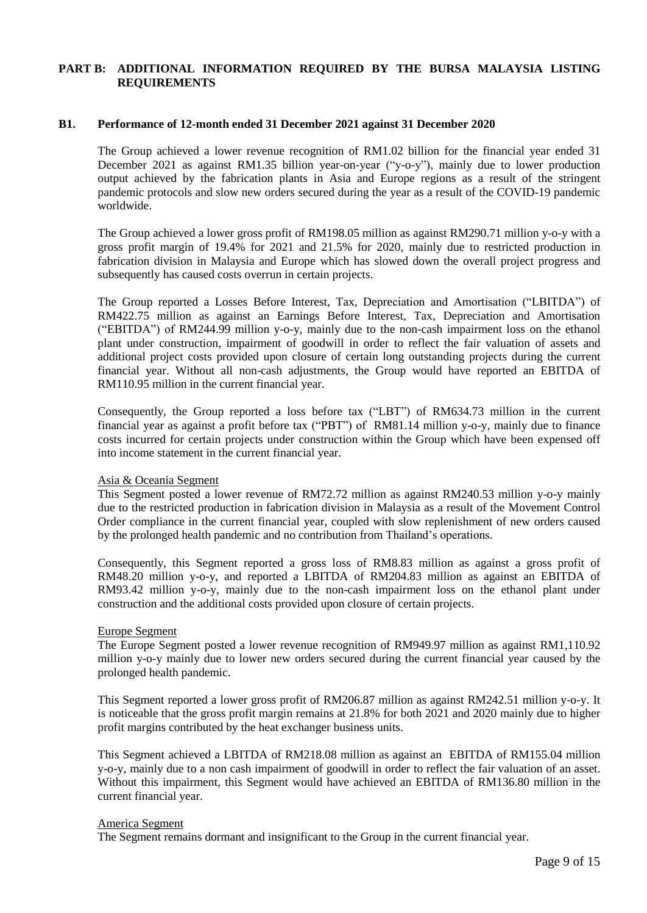# **PART B: ADDITIONAL INFORMATION REQUIRED BY THE BURSA MALAYSIA LISTING REQUIREMENTS**

### **B1. Performance of 12-month ended 31 December 2021 against 31 December 2020**

The Group achieved a lower revenue recognition of RM1.02 billion for the financial year ended 31 December 2021 as against RM1.35 billion year-on-year ("y-o-y"), mainly due to lower production output achieved by the fabrication plants in Asia and Europe regions as a result of the stringent pandemic protocols and slow new orders secured during the year as a result of the COVID-19 pandemic worldwide.

The Group achieved a lower gross profit of RM198.05 million as against RM290.71 million y-o-y with a gross profit margin of 19.4% for 2021 and 21.5% for 2020, mainly due to restricted production in fabrication division in Malaysia and Europe which has slowed down the overall project progress and subsequently has caused costs overrun in certain projects.

The Group reported a Losses Before Interest, Tax, Depreciation and Amortisation ("LBITDA") of RM422.75 million as against an Earnings Before Interest, Tax, Depreciation and Amortisation ("EBITDA") of RM244.99 million y-o-y, mainly due to the non-cash impairment loss on the ethanol plant under construction, impairment of goodwill in order to reflect the fair valuation of assets and additional project costs provided upon closure of certain long outstanding projects during the current financial year. Without all non-cash adjustments, the Group would have reported an EBITDA of RM110.95 million in the current financial year.

Consequently, the Group reported a loss before tax ("LBT") of RM634.73 million in the current financial year as against a profit before tax ("PBT") of RM81.14 million y-o-y, mainly due to finance costs incurred for certain projects under construction within the Group which have been expensed off into income statement in the current financial year.

### Asia & Oceania Segment

This Segment posted a lower revenue of RM72.72 million as against RM240.53 million y-o-y mainly due to the restricted production in fabrication division in Malaysia as a result of the Movement Control Order compliance in the current financial year, coupled with slow replenishment of new orders caused by the prolonged health pandemic and no contribution from Thailand's operations.

Consequently, this Segment reported a gross loss of RM8.83 million as against a gross profit of RM48.20 million y-o-y, and reported a LBITDA of RM204.83 million as against an EBITDA of RM93.42 million y-o-y, mainly due to the non-cash impairment loss on the ethanol plant under construction and the additional costs provided upon closure of certain projects.

### Europe Segment

The Europe Segment posted a lower revenue recognition of RM949.97 million as against RM1,110.92 million y-o-y mainly due to lower new orders secured during the current financial year caused by the prolonged health pandemic.

This Segment reported a lower gross profit of RM206.87 million as against RM242.51 million y-o-y. It is noticeable that the gross profit margin remains at 21.8% for both 2021 and 2020 mainly due to higher profit margins contributed by the heat exchanger business units.

This Segment achieved a LBITDA of RM218.08 million as against an EBITDA of RM155.04 million y-o-y, mainly due to a non cash impairment of goodwill in order to reflect the fair valuation of an asset. Without this impairment, this Segment would have achieved an EBITDA of RM136.80 million in the current financial year.

### America Segment

The Segment remains dormant and insignificant to the Group in the current financial year.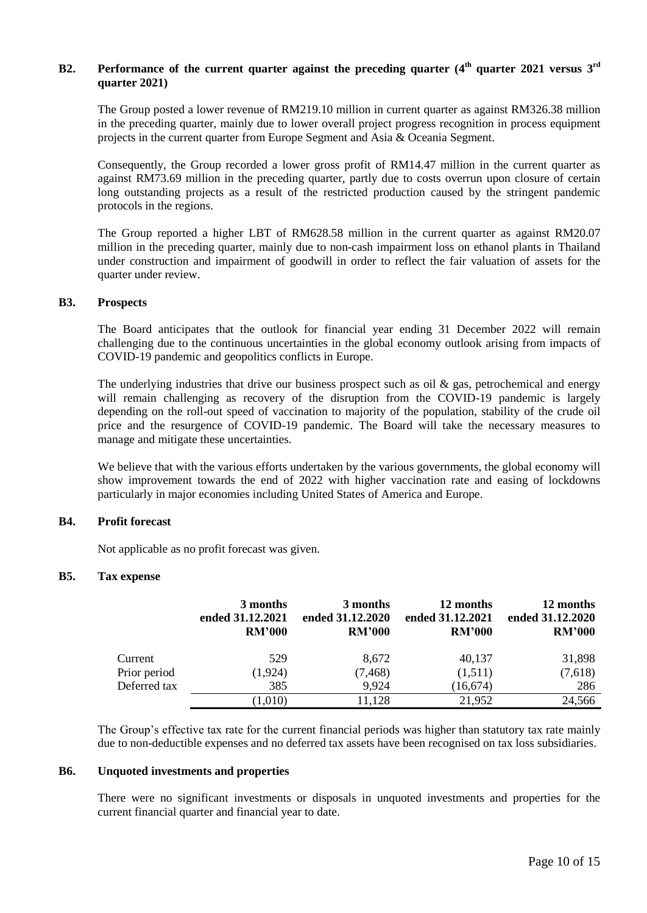# B2. Performance of the current quarter against the preceding quarter (4<sup>th</sup> quarter 2021 versus 3<sup>rd</sup> **quarter 2021)**

The Group posted a lower revenue of RM219.10 million in current quarter as against RM326.38 million in the preceding quarter, mainly due to lower overall project progress recognition in process equipment projects in the current quarter from Europe Segment and Asia & Oceania Segment.

Consequently, the Group recorded a lower gross profit of RM14.47 million in the current quarter as against RM73.69 million in the preceding quarter, partly due to costs overrun upon closure of certain long outstanding projects as a result of the restricted production caused by the stringent pandemic protocols in the regions.

The Group reported a higher LBT of RM628.58 million in the current quarter as against RM20.07 million in the preceding quarter, mainly due to non-cash impairment loss on ethanol plants in Thailand under construction and impairment of goodwill in order to reflect the fair valuation of assets for the quarter under review.

# **B3. Prospects**

The Board anticipates that the outlook for financial year ending 31 December 2022 will remain challenging due to the continuous uncertainties in the global economy outlook arising from impacts of COVID-19 pandemic and geopolitics conflicts in Europe.

The underlying industries that drive our business prospect such as oil  $\&$  gas, petrochemical and energy will remain challenging as recovery of the disruption from the COVID-19 pandemic is largely depending on the roll-out speed of vaccination to majority of the population, stability of the crude oil price and the resurgence of COVID-19 pandemic. The Board will take the necessary measures to manage and mitigate these uncertainties.

We believe that with the various efforts undertaken by the various governments, the global economy will show improvement towards the end of 2022 with higher vaccination rate and easing of lockdowns particularly in major economies including United States of America and Europe.

# **B4. Profit forecast**

Not applicable as no profit forecast was given.

# **B5. Tax expense**

|              | 3 months<br>ended 31.12.2021<br><b>RM'000</b> | 3 months<br>ended 31.12.2020<br><b>RM'000</b> | 12 months<br>ended 31.12.2021<br><b>RM'000</b> | 12 months<br>ended 31.12.2020<br><b>RM'000</b> |
|--------------|-----------------------------------------------|-----------------------------------------------|------------------------------------------------|------------------------------------------------|
| Current      | 529                                           | 8,672                                         | 40,137                                         | 31,898                                         |
| Prior period | (1, 924)                                      | (7, 468)                                      | (1,511)                                        | (7,618)                                        |
| Deferred tax | 385                                           | 9.924                                         | (16, 674)                                      | 286                                            |
|              | (1,010)                                       | 11,128                                        | 21,952                                         | 24,566                                         |

The Group's effective tax rate for the current financial periods was higher than statutory tax rate mainly due to non-deductible expenses and no deferred tax assets have been recognised on tax loss subsidiaries.

# **B6. Unquoted investments and properties**

There were no significant investments or disposals in unquoted investments and properties for the current financial quarter and financial year to date.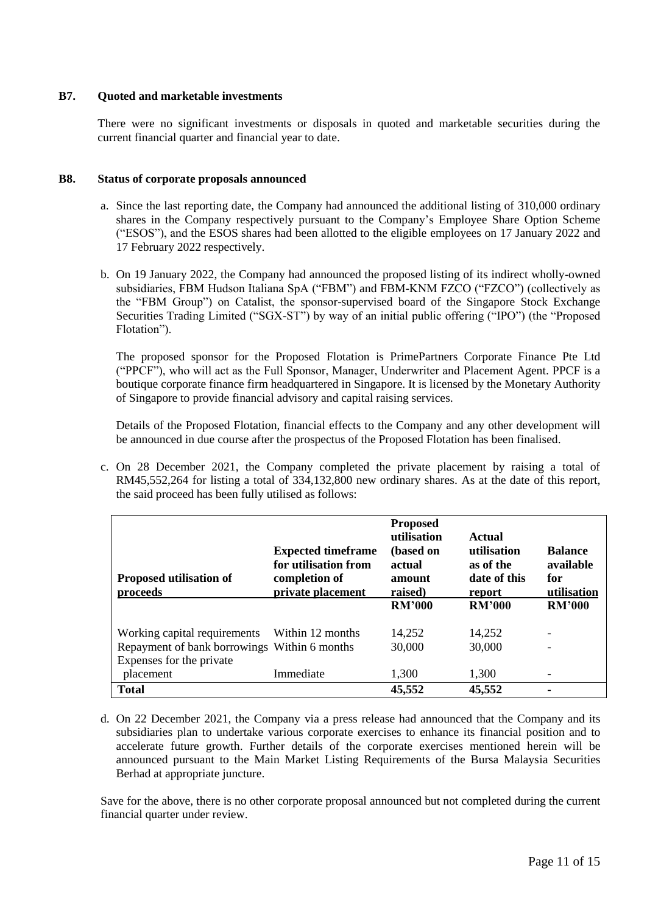# **B7. Quoted and marketable investments**

There were no significant investments or disposals in quoted and marketable securities during the current financial quarter and financial year to date.

# **B8. Status of corporate proposals announced**

- a. Since the last reporting date, the Company had announced the additional listing of 310,000 ordinary shares in the Company respectively pursuant to the Company's Employee Share Option Scheme ("ESOS"), and the ESOS shares had been allotted to the eligible employees on 17 January 2022 and 17 February 2022 respectively.
- b. On 19 January 2022, the Company had announced the proposed listing of its indirect wholly-owned subsidiaries, FBM Hudson Italiana SpA ("FBM") and FBM-KNM FZCO ("FZCO") (collectively as the "FBM Group") on Catalist, the sponsor-supervised board of the Singapore Stock Exchange Securities Trading Limited ("SGX-ST") by way of an initial public offering ("IPO") (the "Proposed Flotation").

The proposed sponsor for the Proposed Flotation is PrimePartners Corporate Finance Pte Ltd ("PPCF"), who will act as the Full Sponsor, Manager, Underwriter and Placement Agent. PPCF is a boutique corporate finance firm headquartered in Singapore. It is licensed by the Monetary Authority of Singapore to provide financial advisory and capital raising services.

Details of the Proposed Flotation, financial effects to the Company and any other development will be announced in due course after the prospectus of the Proposed Flotation has been finalised.

c. On 28 December 2021, the Company completed the private placement by raising a total of RM45,552,264 for listing a total of 334,132,800 new ordinary shares. As at the date of this report, the said proceed has been fully utilised as follows:

| <b>Proposed utilisation of</b><br>proceeds                                   | <b>Expected timeframe</b><br>for utilisation from<br>completion of<br>private placement | <b>Proposed</b><br>utilisation<br>(based on<br>actual<br>amount<br>raised) | Actual<br>utilisation<br>as of the<br>date of this<br>report | <b>Balance</b><br>available<br>for<br>utilisation |
|------------------------------------------------------------------------------|-----------------------------------------------------------------------------------------|----------------------------------------------------------------------------|--------------------------------------------------------------|---------------------------------------------------|
|                                                                              |                                                                                         | <b>RM'000</b>                                                              | <b>RM'000</b>                                                | <b>RM'000</b>                                     |
| Working capital requirements<br>Repayment of bank borrowings Within 6 months | Within 12 months                                                                        | 14,252<br>30,000                                                           | 14,252<br>30,000                                             |                                                   |
| Expenses for the private                                                     |                                                                                         |                                                                            |                                                              |                                                   |
| placement                                                                    | Immediate                                                                               | 1,300                                                                      | 1,300                                                        |                                                   |
| <b>Total</b>                                                                 |                                                                                         | 45,552                                                                     | 45,552                                                       |                                                   |

d. On 22 December 2021, the Company via a press release had announced that the Company and its subsidiaries plan to undertake various corporate exercises to enhance its financial position and to accelerate future growth. Further details of the corporate exercises mentioned herein will be announced pursuant to the Main Market Listing Requirements of the Bursa Malaysia Securities Berhad at appropriate juncture.

Save for the above, there is no other corporate proposal announced but not completed during the current financial quarter under review.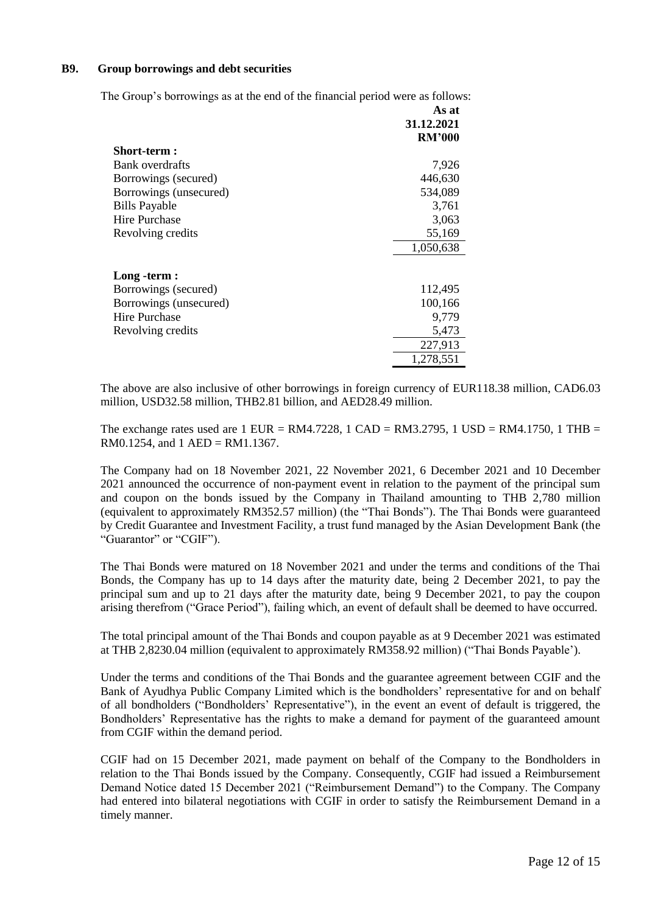# **B9. Group borrowings and debt securities**

The Group's borrowings as at the end of the financial period were as follows:

|                        | As at         |
|------------------------|---------------|
|                        | 31.12.2021    |
|                        | <b>RM'000</b> |
| Short-term :           |               |
| Bank overdrafts        | 7,926         |
| Borrowings (secured)   | 446,630       |
| Borrowings (unsecured) | 534,089       |
| <b>Bills Payable</b>   | 3,761         |
| Hire Purchase          | 3,063         |
| Revolving credits      | 55,169        |
|                        | 1,050,638     |
| Long -term :           |               |
| Borrowings (secured)   | 112,495       |
| Borrowings (unsecured) | 100,166       |
| Hire Purchase          | 9,779         |
| Revolving credits      | 5,473         |
|                        | 227,913       |
|                        | 1,278,551     |

The above are also inclusive of other borrowings in foreign currency of EUR118.38 million, CAD6.03 million, USD32.58 million, THB2.81 billion, and AED28.49 million.

The exchange rates used are  $1$  EUR = RM4.7228,  $1$  CAD = RM3.2795,  $1$  USD = RM4.1750,  $1$  THB = RM0.1254, and  $1$  AED = RM1.1367.

The Company had on 18 November 2021, 22 November 2021, 6 December 2021 and 10 December 2021 announced the occurrence of non-payment event in relation to the payment of the principal sum and coupon on the bonds issued by the Company in Thailand amounting to THB 2,780 million (equivalent to approximately RM352.57 million) (the "Thai Bonds"). The Thai Bonds were guaranteed by Credit Guarantee and Investment Facility, a trust fund managed by the Asian Development Bank (the "Guarantor" or "CGIF").

The Thai Bonds were matured on 18 November 2021 and under the terms and conditions of the Thai Bonds, the Company has up to 14 days after the maturity date, being 2 December 2021, to pay the principal sum and up to 21 days after the maturity date, being 9 December 2021, to pay the coupon arising therefrom ("Grace Period"), failing which, an event of default shall be deemed to have occurred.

The total principal amount of the Thai Bonds and coupon payable as at 9 December 2021 was estimated at THB 2,8230.04 million (equivalent to approximately RM358.92 million) ("Thai Bonds Payable').

Under the terms and conditions of the Thai Bonds and the guarantee agreement between CGIF and the Bank of Ayudhya Public Company Limited which is the bondholders' representative for and on behalf of all bondholders ("Bondholders' Representative"), in the event an event of default is triggered, the Bondholders' Representative has the rights to make a demand for payment of the guaranteed amount from CGIF within the demand period.

CGIF had on 15 December 2021, made payment on behalf of the Company to the Bondholders in relation to the Thai Bonds issued by the Company. Consequently, CGIF had issued a Reimbursement Demand Notice dated 15 December 2021 ("Reimbursement Demand") to the Company. The Company had entered into bilateral negotiations with CGIF in order to satisfy the Reimbursement Demand in a timely manner.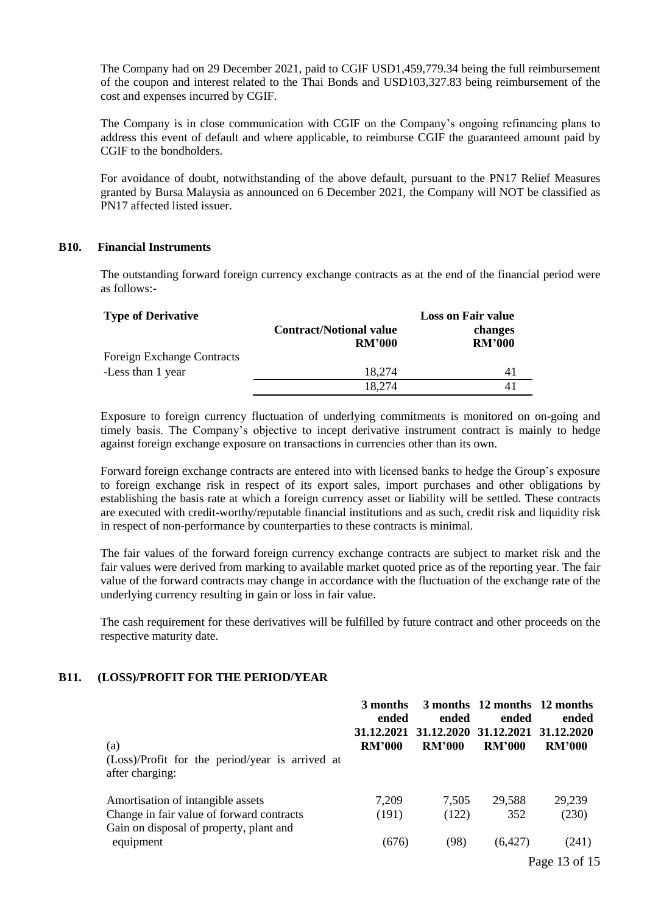The Company had on 29 December 2021, paid to CGIF USD1,459,779.34 being the full reimbursement of the coupon and interest related to the Thai Bonds and USD103,327.83 being reimbursement of the cost and expenses incurred by CGIF.

The Company is in close communication with CGIF on the Company's ongoing refinancing plans to address this event of default and where applicable, to reimburse CGIF the guaranteed amount paid by CGIF to the bondholders.

For avoidance of doubt, notwithstanding of the above default, pursuant to the PN17 Relief Measures granted by Bursa Malaysia as announced on 6 December 2021, the Company will NOT be classified as PN17 affected listed issuer.

### **B10. Financial Instruments**

The outstanding forward foreign currency exchange contracts as at the end of the financial period were as follows:-

| <b>Type of Derivative</b>         | <b>Contract/Notional value</b><br><b>RM'000</b> | <b>Loss on Fair value</b><br>changes<br><b>RM'000</b> |
|-----------------------------------|-------------------------------------------------|-------------------------------------------------------|
| <b>Foreign Exchange Contracts</b> |                                                 |                                                       |
| -Less than 1 year                 | 18.274                                          | 41                                                    |
|                                   | 18,274                                          |                                                       |

Exposure to foreign currency fluctuation of underlying commitments is monitored on on-going and timely basis. The Company's objective to incept derivative instrument contract is mainly to hedge against foreign exchange exposure on transactions in currencies other than its own.

Forward foreign exchange contracts are entered into with licensed banks to hedge the Group's exposure to foreign exchange risk in respect of its export sales, import purchases and other obligations by establishing the basis rate at which a foreign currency asset or liability will be settled. These contracts are executed with credit-worthy/reputable financial institutions and as such, credit risk and liquidity risk in respect of non-performance by counterparties to these contracts is minimal.

The fair values of the forward foreign currency exchange contracts are subject to market risk and the fair values were derived from marking to available market quoted price as of the reporting year. The fair value of the forward contracts may change in accordance with the fluctuation of the exchange rate of the underlying currency resulting in gain or loss in fair value.

The cash requirement for these derivatives will be fulfilled by future contract and other proceeds on the respective maturity date.

# **B11. (LOSS)/PROFIT FOR THE PERIOD/YEAR**

|                                                                                      | 3 months<br>ended           | ended                       | 3 months 12 months 12 months<br>ended | ended                       |
|--------------------------------------------------------------------------------------|-----------------------------|-----------------------------|---------------------------------------|-----------------------------|
| (a)                                                                                  | 31.12.2021<br><b>RM'000</b> | 31.12.2020<br><b>RM'000</b> | 31.12.2021<br><b>RM'000</b>           | 31.12.2020<br><b>RM'000</b> |
| (Loss)/Profit for the period/year is arrived at<br>after charging:                   |                             |                             |                                       |                             |
| Amortisation of intangible assets                                                    | 7,209                       | 7,505                       | 29,588                                | 29,239                      |
| Change in fair value of forward contracts<br>Gain on disposal of property, plant and | (191)                       | (122)                       | 352                                   | (230)                       |
| equipment                                                                            | (676)                       | (98)                        | (6,427)                               | (241)                       |
|                                                                                      |                             |                             |                                       | Page 13 of 15               |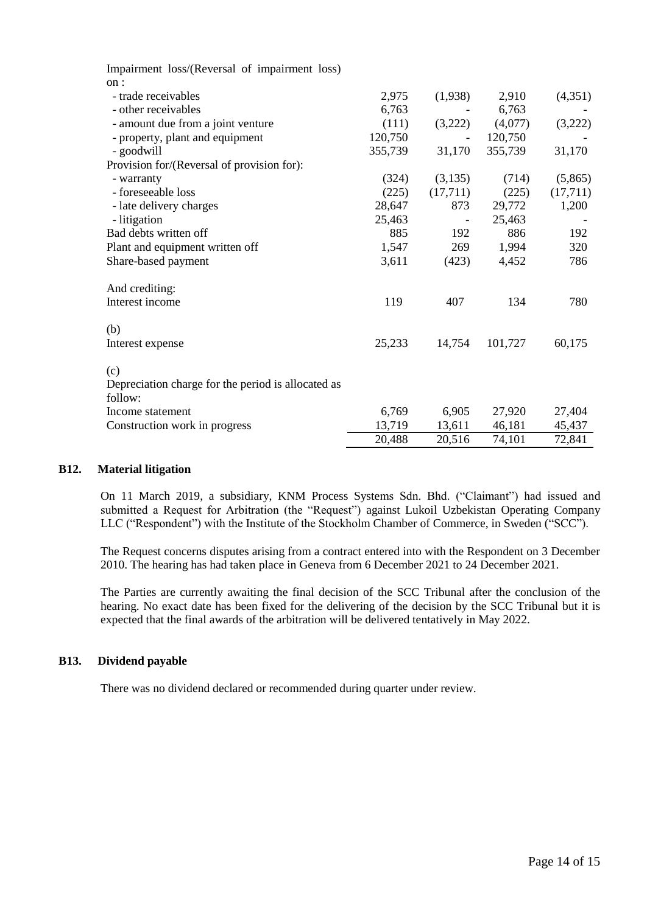| Impairment loss/(Reversal of impairment loss)      |         |          |         |          |
|----------------------------------------------------|---------|----------|---------|----------|
| on:                                                |         |          |         |          |
| - trade receivables                                | 2,975   | (1,938)  | 2,910   | (4,351)  |
| - other receivables                                | 6,763   |          | 6,763   |          |
| - amount due from a joint venture                  | (111)   | (3,222)  | (4,077) | (3,222)  |
| - property, plant and equipment                    | 120,750 |          | 120,750 |          |
| - goodwill                                         | 355,739 | 31,170   | 355,739 | 31,170   |
| Provision for/(Reversal of provision for):         |         |          |         |          |
| - warranty                                         | (324)   | (3,135)  | (714)   | (5,865)  |
| - foreseeable loss                                 | (225)   | (17,711) | (225)   | (17,711) |
| - late delivery charges                            | 28,647  | 873      | 29,772  | 1,200    |
| - litigation                                       | 25,463  |          | 25,463  |          |
| Bad debts written off                              | 885     | 192      | 886     | 192      |
| Plant and equipment written off                    | 1,547   | 269      | 1,994   | 320      |
| Share-based payment                                | 3,611   | (423)    | 4,452   | 786      |
| And crediting:                                     |         |          |         |          |
| Interest income                                    | 119     | 407      | 134     | 780      |
| (b)                                                |         |          |         |          |
| Interest expense                                   | 25,233  | 14,754   | 101,727 | 60,175   |
| (c)                                                |         |          |         |          |
| Depreciation charge for the period is allocated as |         |          |         |          |
| follow:                                            |         |          |         |          |
| Income statement                                   | 6,769   | 6,905    | 27,920  | 27,404   |
| Construction work in progress                      | 13,719  | 13,611   | 46,181  | 45,437   |
|                                                    | 20,488  | 20,516   | 74,101  | 72,841   |

# **B12. Material litigation**

On 11 March 2019, a subsidiary, KNM Process Systems Sdn. Bhd. ("Claimant") had issued and submitted a Request for Arbitration (the "Request") against Lukoil Uzbekistan Operating Company LLC ("Respondent") with the Institute of the Stockholm Chamber of Commerce, in Sweden ("SCC").

The Request concerns disputes arising from a contract entered into with the Respondent on 3 December 2010. The hearing has had taken place in Geneva from 6 December 2021 to 24 December 2021.

The Parties are currently awaiting the final decision of the SCC Tribunal after the conclusion of the hearing. No exact date has been fixed for the delivering of the decision by the SCC Tribunal but it is expected that the final awards of the arbitration will be delivered tentatively in May 2022.

# **B13. Dividend payable**

There was no dividend declared or recommended during quarter under review.